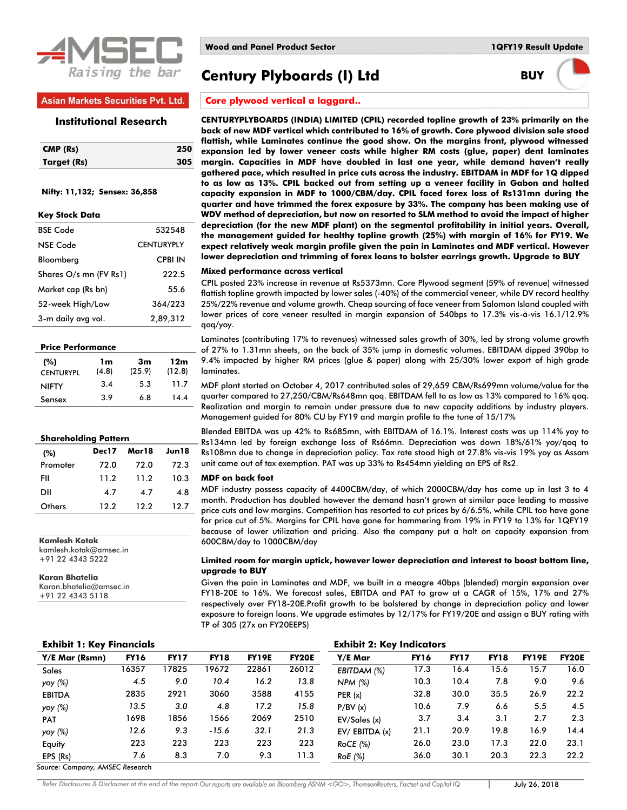

# **Asian Markets Securities Pvt. Ltd.**

#### **Institutional Research**

| CMP (Rs)    | 250 |
|-------------|-----|
| Target (Rs) | 305 |

#### **Nifty: 11,132; Sensex: 36,858**

| <b>BSE Code</b>        | 532548            |
|------------------------|-------------------|
| NSE Code               | <b>CENTURYPLY</b> |
| Bloomberg              | <b>CPBI IN</b>    |
| Shares O/s mn (FV Rs1) | 222.5             |
| Market cap (Rs bn)     | 55.6              |
| 52-week High/Low       | 364/223           |
| 3-m daily avg vol.     | 2,89,312          |

| <b>Price Performance</b> |             |              |               |  |  |  |  |  |
|--------------------------|-------------|--------------|---------------|--|--|--|--|--|
| (%)<br><b>CENTURYPL</b>  | 1m<br>(4.8) | 3m<br>(25.9) | 12m<br>(12.8) |  |  |  |  |  |
| <b>NIFTY</b>             | 3.4         | 53           | 11.7          |  |  |  |  |  |
| Sensex                   | 3.9         | 6.8          | 14.4          |  |  |  |  |  |

#### **Shareholding Pattern**

| (%)      | Dec17 | Mar18 | Jun18 |
|----------|-------|-------|-------|
| Promoter | 72.0  | 72.0  | 72.3  |
| FII      | 11.2  | 11.2  | 10.3  |
| וום      | 4.7   | 4.7   | 4.8   |
| Others   | 12.2  | 12.2  | 12.7  |

**Kamlesh Kotak** kamlesh.kotak@amsec.in +91 22 4343 5222

**Karan Bhatelia** Karan.bhatelia@amsec.in +91 22 4343 5118

# **Century Plyboards (I) Ltd BUY**

# **Core plywood vertical a laggard..**

**CENTURYPLYBOARDS (INDIA) LIMITED (CPIL) recorded topline growth of 23% primarily on the back of new MDF vertical which contributed to 16% of growth. Core plywood division sale stood flattish, while Laminates continue the good show. On the margins front, plywood witnessed expansion led by lower veneer costs while higher RM costs (glue, paper) dent laminates margin. Capacities in MDF have doubled in last one year, while demand haven't really gathered pace, which resulted in price cuts across the industry. EBITDAM in MDF for 1Q dipped to as low as 13%. CPIL backed out from setting up a veneer facility in Gabon and halted capacity expansion in MDF to 1000/CBM/day. CPIL faced forex loss of Rs131mn during the quarter and have trimmed the forex exposure by 33%. The company has been making use of WDV method of depreciation, but now on resorted to SLM method to avoid the impact of higher depreciation (for the new MDF plant) on the segmental profitability in initial years. Overall, the management guided for healthy topline growth (25%) with margin of 16% for FY19. We expect relatively weak margin profile given the pain in Laminates and MDF vertical. However lower depreciation and trimming of forex loans to bolster earrings growth. Upgrade to BUY**

#### **Mixed performance across vertical**

CPIL posted 23% increase in revenue at Rs5373mn. Core Plywood segment (59% of revenue) witnessed flattish topline growth impacted by lower sales (-40%) of the commercial veneer, while DV record healthy 25%/22% revenue and volume growth. Cheap sourcing of face veneer from Salomon Island coupled with lower prices of core veneer resulted in margin expansion of 540bps to 17.3% vis-à-vis 16.1/12.9% qoq/yoy.

Laminates (contributing 17% to revenues) witnessed sales growth of 30%, led by strong volume growth of 27% to 1.31mn sheets, on the back of 35% jump in domestic volumes. EBITDAM dipped 390bp to 9.4% impacted by higher RM prices (glue & paper) along with 25/30% lower export of high grade laminates.

MDF plant started on October 4, 2017 contributed sales of 29,659 CBM/Rs699mn volume/value for the quarter compared to 27,250/CBM/Rs648mn qoq. EBITDAM fell to as low as 13% compared to 16% qoq. Realization and margin to remain under pressure due to new capacity additions by industry players. Management guided for 80% CU by FY19 and margin profile to the tune of 15/17%

Blended EBITDA was up 42% to Rs685mn, with EBITDAM of 16.1%. Interest costs was up 114% yoy to Rs134mn led by foreign exchange loss of Rs66mn. Depreciation was down 18%/61% yoy/qoq to Rs108mn due to change in depreciation policy. Tax rate stood high at 27.8% vis-vis 19% yoy as Assam unit came out of tax exemption. PAT was up 33% to Rs454mn yielding an EPS of Rs2.

#### **MDF on back foot**

MDF industry possess capacity of 4400CBM/day, of which 2000CBM/day has come up in last 3 to 4 month. Production has doubled however the demand hasn't grown at similar pace leading to massive price cuts and low margins. Competition has resorted to cut prices by 6/6.5%, while CPIL too have gone for price cut of 5%. Margins for CPIL have gone for hammering from 19% in FY19 to 13% for 1QFY19 because of lower utilization and pricing. Also the company put a halt on capacity expansion from 600CBM/day to 1000CBM/day

#### **Limited room for margin uptick, however lower depreciation and interest to boost bottom line, upgrade to BUY**

Given the pain in Laminates and MDF, we built in a meagre 40bps (blended) margin expansion over FY18-20E to 16%. We forecast sales, EBITDA and PAT to grow at a CAGR of 15%, 17% and 27% respectively over FY18-20E.Profit growth to be bolstered by change in depreciation policy and lower exposure to foreign loans. We upgrade estimates by 12/17% for FY19/20E and assign a BUY rating with TP of 305 (27x on FY20EEPS)

| <b>Exhibit 1: Key Financials</b> | <b>Exhibit 2: Key Indicators</b> |             |             |              |              |               |             |             |             |              |              |
|----------------------------------|----------------------------------|-------------|-------------|--------------|--------------|---------------|-------------|-------------|-------------|--------------|--------------|
| Y/E Mar (Rsmn)                   | <b>FY16</b>                      | <b>FY17</b> | <b>FY18</b> | <b>FY19E</b> | <b>FY20E</b> | Y/E Mar       | <b>FY16</b> | <b>FY17</b> | <b>FY18</b> | <b>FY19E</b> | <b>FY20E</b> |
| <b>Sales</b>                     | 16357                            | 17825       | 19672       | 22861        | 26012        | EBITDAM (%)   | 17.3        | 16.4        | 15.6        | 15.7         | 16.0         |
| yoy (%)                          | 4.5                              | 9.0         | 10.4        | 16.2         | 13.8         | NPM (%)       | 10.3        | 10.4        | 7.8         | 9.0          | 9.6          |
| <b>EBITDA</b>                    | 2835                             | 2921        | 3060        | 3588         | 4155         | PER(x)        | 32.8        | 30.0        | 35.5        | 26.9         | 22.2         |
| yoy (%)                          | 13.5                             | 3.0         | 4.8         | 17.2         | 15.8         | P/BV(x)       | 10.6        | 7.9         | 6.6         | 5.5          | 4.5          |
| <b>PAT</b>                       | 1698                             | 1856        | 1566        | 2069         | 2510         | EV/Sales(x)   | 3.7         | 3.4         | 3.1         | 2.7          | 2.3          |
| yoy (%)                          | 12.6                             | 9.3         | $-15.6$     | 32.1         | 21.3         | EV/EBITDA (x) | 21.1        | 20.9        | 19.8        | 16.9         | 14.4         |
| Equity                           | 223                              | 223         | 223         | 223          | 223          | $RoCE$ (%)    | 26.0        | 23.0        | 17.3        | 22.0         | 23.1         |
| EPS (Rs)                         | 7.6                              | 8.3         | 7.0         | 9.3          | 11.3         | RoE (%)       | 36.0        | 30.1        | 20.3        | 22.3         | 22.2         |

*Source: Company, AMSEC Research*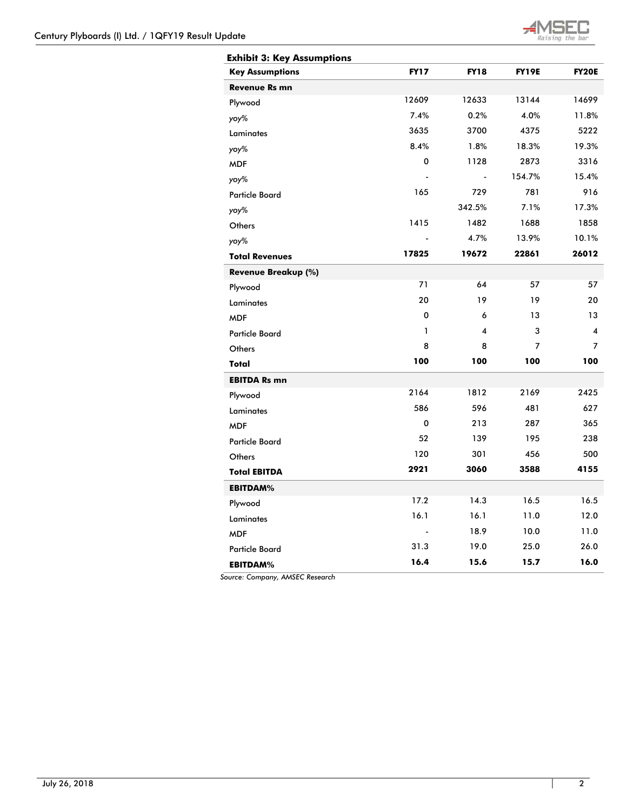

| <b>Exhibit 3: Key Assumptions</b> |              |             |              |                         |
|-----------------------------------|--------------|-------------|--------------|-------------------------|
| <b>Key Assumptions</b>            | <b>FY17</b>  | <b>FY18</b> | <b>FY19E</b> | <b>FY20E</b>            |
| <b>Revenue Rs mn</b>              |              |             |              |                         |
| Plywood                           | 12609        | 12633       | 13144        | 14699                   |
| yoy%                              | 7.4%         | 0.2%        | 4.0%         | 11.8%                   |
| Laminates                         | 3635         | 3700        | 4375         | 5222                    |
| yoy%                              | 8.4%         | 1.8%        | 18.3%        | 19.3%                   |
| <b>MDF</b>                        | $\mathbf 0$  | 1128        | 2873         | 3316                    |
| yoy%                              |              |             | 154.7%       | 15.4%                   |
| <b>Particle Board</b>             | 165          | 729         | 781          | 916                     |
| yoy%                              |              | 342.5%      | 7.1%         | 17.3%                   |
| Others                            | 1415         | 1482        | 1688         | 1858                    |
| yoy%                              |              | 4.7%        | 13.9%        | 10.1%                   |
| <b>Total Revenues</b>             | 17825        | 19672       | 22861        | 26012                   |
| Revenue Breakup (%)               |              |             |              |                         |
| Plywood                           | 71           | 64          | 57           | 57                      |
| Laminates                         | 20           | 19          | 19           | 20                      |
| <b>MDF</b>                        | 0            | 6           | 13           | 13                      |
| <b>Particle Board</b>             | $\mathbf{1}$ | 4           | 3            | $\overline{\mathbf{4}}$ |
| Others                            | 8            | 8           | 7            | $\overline{7}$          |
| Total                             | 100          | 100         | 100          | 100                     |
| <b>EBITDA Rs mn</b>               |              |             |              |                         |
| Plywood                           | 2164         | 1812        | 2169         | 2425                    |
| <b>Laminates</b>                  | 586          | 596         | 481          | 627                     |
| <b>MDF</b>                        | 0            | 213         | 287          | 365                     |
| <b>Particle Board</b>             | 52           | 139         | 195          | 238                     |
| Others                            | 120          | 301         | 456          | 500                     |
| <b>Total EBITDA</b>               | 2921         | 3060        | 3588         | 4155                    |
| <b>EBITDAM%</b>                   |              |             |              |                         |
| Plywood                           | 17.2         | 14.3        | 16.5         | 16.5                    |
| <b>Laminates</b>                  | 16.1         | 16.1        | 11.0         | 12.0                    |
| <b>MDF</b>                        |              | 18.9        | 10.0         | 11.0                    |
| <b>Particle Board</b>             | 31.3         | 19.0        | 25.0         | 26.0                    |
| <b>EBITDAM%</b>                   | 16.4         | 15.6        | 15.7         | 16.0                    |

*Source: Company, AMSEC Research*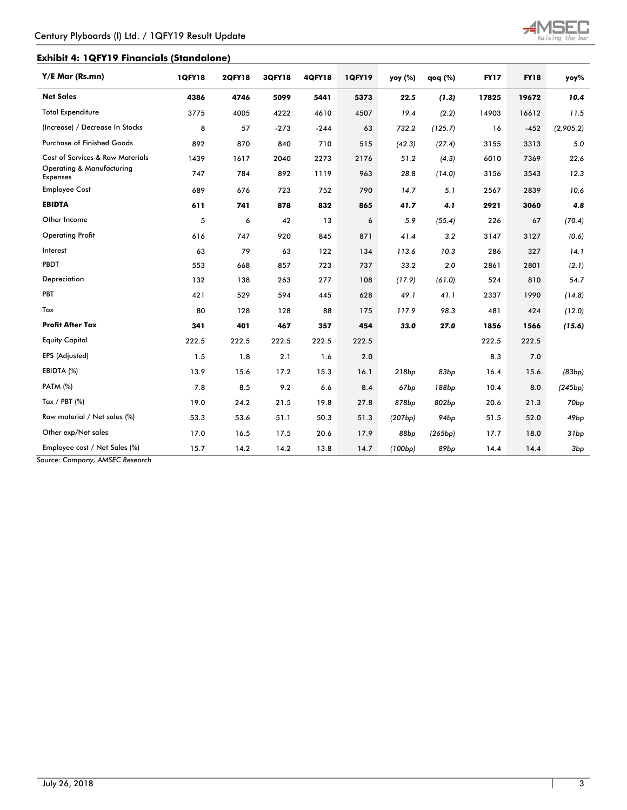

# **Exhibit 4: 1QFY19 Financials (Standalone)**

| Y/E Mar (Rs.mn)                              | <b>1QFY18</b> | <b>2QFY18</b> | 3QFY18 | <b>4QFY18</b> | <b>1QFY19</b> | yoy (%) | $q$ oq $(%)$ | <b>FY17</b> | <b>FY18</b> | yoy%             |
|----------------------------------------------|---------------|---------------|--------|---------------|---------------|---------|--------------|-------------|-------------|------------------|
| <b>Net Sales</b>                             | 4386          | 4746          | 5099   | 5441          | 5373          | 22.5    | (1.3)        | 17825       | 19672       | 10.4             |
| <b>Total Expenditure</b>                     | 3775          | 4005          | 4222   | 4610          | 4507          | 19.4    | (2.2)        | 14903       | 16612       | 11.5             |
| (Increase) / Decrease In Stocks              | 8             | 57            | $-273$ | $-244$        | 63            | 732.2   | (125.7)      | 16          | $-452$      | (2,905.2)        |
| <b>Purchase of Finished Goods</b>            | 892           | 870           | 840    | 710           | 515           | (42.3)  | (27.4)       | 3155        | 3313        | 5.0              |
| Cost of Services & Raw Materials             | 1439          | 1617          | 2040   | 2273          | 2176          | 51.2    | (4.3)        | 6010        | 7369        | 22.6             |
| Operating & Manufacturing<br><b>Expenses</b> | 747           | 784           | 892    | 1119          | 963           | 28.8    | (14.0)       | 3156        | 3543        | 12.3             |
| <b>Employee Cost</b>                         | 689           | 676           | 723    | 752           | 790           | 14.7    | 5.1          | 2567        | 2839        | 10.6             |
| <b>EBIDTA</b>                                | 611           | 741           | 878    | 832           | 865           | 41.7    | 4.1          | 2921        | 3060        | 4.8              |
| Other Income                                 | 5             | 6             | 42     | 13            | 6             | 5.9     | (55.4)       | 226         | 67          | (70.4)           |
| <b>Operating Profit</b>                      | 616           | 747           | 920    | 845           | 871           | 41.4    | 3.2          | 3147        | 3127        | (0.6)            |
| Interest                                     | 63            | 79            | 63     | 122           | 134           | 113.6   | 10.3         | 286         | 327         | 14.1             |
| PBDT                                         | 553           | 668           | 857    | 723           | 737           | 33.2    | 2.0          | 2861        | 2801        | (2.1)            |
| Depreciation                                 | 132           | 138           | 263    | 277           | 108           | (17.9)  | (61.0)       | 524         | 810         | 54.7             |
| PBT                                          | 421           | 529           | 594    | 445           | 628           | 49.1    | 41.1         | 2337        | 1990        | (14.8)           |
| Tax                                          | 80            | 128           | 128    | 88            | 175           | 117.9   | 98.3         | 481         | 424         | (12.0)           |
| <b>Profit After Tax</b>                      | 341           | 401           | 467    | 357           | 454           | 33.0    | 27.0         | 1856        | 1566        | (15.6)           |
| <b>Equity Capital</b>                        | 222.5         | 222.5         | 222.5  | 222.5         | 222.5         |         |              | 222.5       | 222.5       |                  |
| EPS (Adjusted)                               | 1.5           | 1.8           | 2.1    | 1.6           | 2.0           |         |              | 8.3         | 7.0         |                  |
| EBIDTA (%)                                   | 13.9          | 15.6          | 17.2   | 15.3          | 16.1          | 218bp   | 83bp         | 16.4        | 15.6        | (83bp)           |
| <b>PATM (%)</b>                              | 7.8           | 8.5           | 9.2    | 6.6           | 8.4           | 67bp    | 188bp        | 10.4        | 8.0         | (245bp)          |
| Tax / PBT $(\%)$                             | 19.0          | 24.2          | 21.5   | 19.8          | 27.8          | 878bp   | 802bp        | 20.6        | 21.3        | 70 <sub>bp</sub> |
| Raw material / Net sales (%)                 | 53.3          | 53.6          | 51.1   | 50.3          | 51.3          | (207bp) | 94bp         | 51.5        | 52.0        | 49bp             |
| Other exp/Net sales                          | 17.0          | 16.5          | 17.5   | 20.6          | 17.9          | 88bp    | (265bp)      | 17.7        | 18.0        | 31bp             |
| Employee cost / Net Sales (%)                | 15.7          | 14.2          | 14.2   | 13.8          | 14.7          | (100bp) | 89bp         | 14.4        | 14.4        | 3bp              |

*Source: Company, AMSEC Research*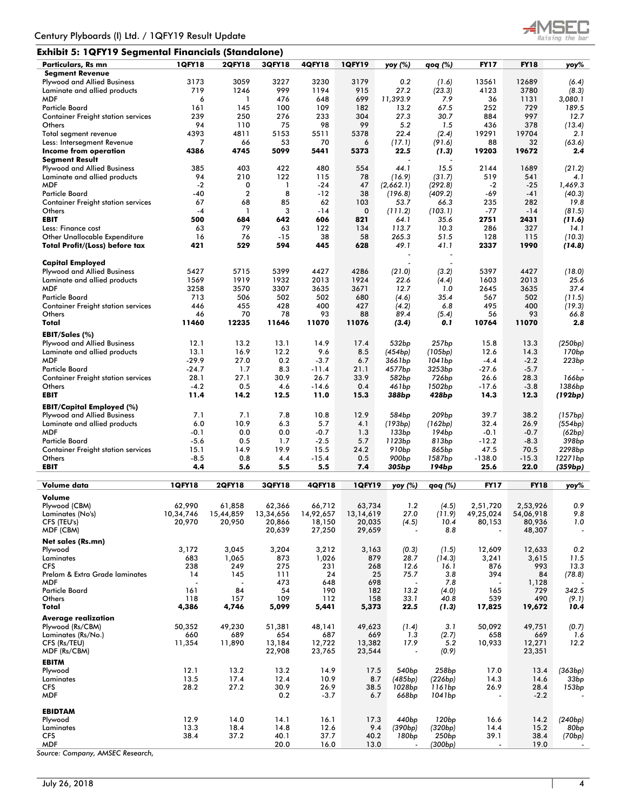# **Exhibit 5: 1QFY19 Segmental Financials (Standalone)**



| Particulars, Rs mn                        | <b>1QFY18</b> | <b>2QFY18</b> | <b>3QFY18</b>       | 4QFY18        | <b>1QFY19</b> | yoy (%)                  | qoq (%)           | <b>FY17</b>              | <b>FY18</b> | yoy%               |
|-------------------------------------------|---------------|---------------|---------------------|---------------|---------------|--------------------------|-------------------|--------------------------|-------------|--------------------|
| <b>Segment Revenue</b>                    |               |               |                     |               |               |                          |                   |                          |             |                    |
| <b>Plywood and Allied Business</b>        | 3173          | 3059          | 3227                | 3230          | 3179          | 0.2                      | (1.6)             | 13561                    | 12689       | (6.4)              |
| Laminate and allied products              | 719           | 1246          | 999                 | 1194          | 915           | 27.2                     | (23.3)            | 4123                     | 3780        | (8.3)              |
| <b>MDF</b>                                | 6             | 1             | 476                 | 648           | 699           | 11,393.9                 | 7.9               | 36                       | 1131        |                    |
|                                           |               |               |                     |               |               |                          |                   |                          |             | 3,080.1            |
| <b>Particle Board</b>                     | 161           | 145           | 100                 | 109           | 182           | 13.2                     | 67.5              | 252                      | 729         | 189.5              |
| <b>Container Freight station services</b> | 239           | 250           | 276                 | 233           | 304           | 27.3                     | 30.7              | 884                      | 997         | 12.7               |
| Others                                    | 94            | 110           | 75                  | 98            | 99            | 5.2                      | 1.5               | 436                      | 378         | (13.4)             |
| Total segment revenue                     | 4393          | 4811          | 5153                | 5511          | 5378          | 22.4                     | (2.4)             | 19291                    | 19704       | 2.1                |
| Less: Intersegment Revenue                | 7             | 66            | 53                  | 70            | 6             | (17.1)                   | (91.6)            | 88                       | 32          | (63.6)             |
| Income from operation                     | 4386          | 4745          | 5099                | 5441          | 5373          | 22.5                     | (1.3)             | 19203                    | 19672       | 2.4                |
| <b>Segment Result</b>                     |               |               |                     |               |               |                          |                   |                          |             |                    |
|                                           |               |               |                     |               |               |                          |                   |                          |             |                    |
| Plywood and Allied Business               | 385           | 403           | 422                 | 480           | 554           | 44.1                     | 15.5              | 2144                     | 1689        | (21.2)             |
| Laminate and allied products              | 94            | 210           | 122                 | 115           | 78            | (16.9)                   | (31.7)            | 519                      | 541         | 4.1                |
| <b>MDF</b>                                | $-2$          | 0             | $\mathbf{1}$        | $-24$         | 47            | (2,662.1)                | (292.8)           | $-2$                     | $-25$       | 1,469.3            |
| <b>Particle Board</b>                     | -40           | $\mathbf 2$   | 8                   | -12           | 38            | (196.8)                  | (409.2)           | -69                      | -41         | (40.3)             |
| <b>Container Freight station services</b> | 67            | 68            | 85                  | 62            | 103           | 53.7                     | 66.3              | 235                      | 282         | 19.8               |
| Others                                    | $-4$          | $\mathbf{1}$  | 3                   | $-14$         | 0             | (111.2)                  | (103.1)           | $-77$                    | $-14$       | (81.5)             |
| <b>EBIT</b>                               | 500           | 684           | 642                 | 606           | 821           | 64.1                     | 35.6              | 2751                     | 2431        |                    |
|                                           |               |               |                     |               |               |                          |                   |                          |             | (11.6)             |
| Less: Finance cost                        | 63            | 79            | 63                  | 122           | 134           | 113.7                    | 10.3              | 286                      | 327         | 14.1               |
| Other Unallocable Expenditure             | 16            | 76            | $-15$               | 38            | 58            | 265.3                    | 51.5              | 128                      | 115         | (10.3)             |
| Total Profit/(Loss) before tax            | 421           | 529           | 594                 | 445           | 628           | 49.1                     | 41.1              | 2337                     | 1990        | (14.8)             |
|                                           |               |               |                     |               |               |                          |                   |                          |             |                    |
| <b>Capital Employed</b>                   |               |               |                     |               |               |                          |                   |                          |             |                    |
| Plywood and Allied Business               | 5427          | 5715          | 5399                | 4427          | 4286          | (21.0)                   | (3.2)             | 5397                     | 4427        | (18.0)             |
|                                           |               |               |                     |               |               |                          |                   |                          |             |                    |
| Laminate and allied products              | 1569          | 1919          | 1932                | 2013          | 1924          | 22.6                     | (4.4)             | 1603                     | 2013        | 25.6               |
| <b>MDF</b>                                | 3258          | 3570          | 3307                | 3635          | 3671          | 12.7                     | 1.0               | 2645                     | 3635        | 37.4               |
| <b>Particle Board</b>                     | 713           | 506           | 502                 | 502           | 680           | (4.6)                    | 35.4              | 567                      | 502         | (11.5)             |
| <b>Container Freight station services</b> | 446           | 455           | 428                 | 400           | 427           | (4.2)                    | 6.8               | 495                      | 400         | (19.3)             |
| Others                                    | 46            | 70            | 78                  | 93            | 88            | 89.4                     | (5.4)             | 56                       | 93          | 66.8               |
| Total                                     | 11460         | 12235         | 11646               | 11070         | 11076         | (3.4)                    | 0.1               | 10764                    | 11070       | 2.8                |
|                                           |               |               |                     |               |               |                          |                   |                          |             |                    |
| EBIT/Sales (%)                            |               |               |                     |               |               |                          |                   |                          |             |                    |
| Plywood and Allied Business               | 12.1          | 13.2          | 13.1                | 14.9          | 17.4          | 532bp                    | 257 <sub>bp</sub> | 15.8                     | 13.3        | (250bp)            |
| Laminate and allied products              | 13.1          | 16.9          | 12.2                | 9.6           | 8.5           | (454bp)                  | (105bp)           | 12.6                     | 14.3        | 170 <sub>bp</sub>  |
|                                           |               |               |                     |               |               |                          |                   |                          |             |                    |
| <b>MDF</b>                                | -29.9         | 27.0          | 0.2                 | $-3.7$        | 6.7           | 3661bp                   | 1041bp            | $-4.4$                   | $-2.2$      | 223bp              |
| <b>Particle Board</b>                     | $-24.7$       | 1.7           | 8.3                 | $-11.4$       | 21.1          | 4577bp                   | 3253bp            | $-27.6$                  | $-5.7$      |                    |
| <b>Container Freight station services</b> | 28.1          | 27.1          | 30.9                | 26.7          | 33.9          | 582bp                    | 726bp             | 26.6                     | 28.3        | 166 <sub>bp</sub>  |
| Others                                    | $-4.2$        | 0.5           | 4.6                 | $-14.6$       | 0.4           | 461bp                    | 1502bp            | $-17.6$                  | $-3.8$      | 1386bp             |
| <b>EBIT</b>                               | 11.4          | 14.2          | 12.5                | 11.0          | 15.3          | 388bp                    | 428bp             | 14.3                     | 12.3        | (192bp)            |
|                                           |               |               |                     |               |               |                          |                   |                          |             |                    |
|                                           |               |               |                     |               |               |                          |                   |                          |             |                    |
| <b>EBIT/Capital Employed (%)</b>          |               |               |                     |               |               |                          |                   |                          |             |                    |
| Plywood and Allied Business               | 7.1           | 7.1           | 7.8                 | 10.8          | 12.9          | 584bp                    | 209 <sub>bp</sub> | 39.7                     | 38.2        | (157bp)            |
|                                           |               |               |                     |               |               |                          |                   |                          |             |                    |
| Laminate and allied products              | 6.0           | 10.9          | 6.3                 | 5.7           | 4.1           | (193bp)                  | (162bp)           | 32.4                     | 26.9        | (554bp)            |
| <b>MDF</b>                                | $-0.1$        | 0.0           | 0.0                 | $-0.7$        | 1.3           | 133bp                    | 194bp             | $-0.1$                   | $-0.7$      | (62bp)             |
| <b>Particle Board</b>                     | $-5.6$        | 0.5           | 1.7                 | $-2.5$        | 5.7           | 1123bp                   | 813bp             | $-12.2$                  | $-8.3$      | 398bp              |
| <b>Container Freight station services</b> | 15.1          | 14.9          | 19.9                | 15.5          | 24.2          | 910 <sub>bp</sub>        | 865bp             | 47.5                     | 70.5        | 2298 <sub>bp</sub> |
| Others                                    | $-8.5$        | 0.8           | 4.4                 | $-15.4$       | 0.5           | 900 <sub>bp</sub>        | 1587bp            | $-138.0$                 | $-15.3$     | 12271bp            |
| <b>EBIT</b>                               | 4.4           | 5.6           | 5.5                 | 5.5           | 7.4           | 305bp                    | 194bp             | 25.6                     | 22.0        | (359bp)            |
|                                           |               |               |                     |               |               |                          |                   |                          |             |                    |
|                                           |               |               |                     |               |               |                          |                   | <b>FY17</b>              | <b>FY18</b> |                    |
| Volume data                               | 1QFY18        | <b>2QFY18</b> | 3QFY18              | <b>4QFY18</b> | <b>1QFY19</b> | yoy (%)                  | qoq (%)           |                          |             | yoy%               |
| Volume                                    |               |               |                     |               |               |                          |                   |                          |             |                    |
| Plywood (CBM)                             | 62,990        | 61,858        | 62,366              | 66,712        | 63,734        | 1.2                      | (4.5)             | 2,51,720                 | 2,53,926    | 0.9                |
| Laminates (No's)                          | 10,34,746     | 15,44,859     |                     | 14,92,657     | 13, 14, 619   | 27.0                     | (11.9)            | 49,25,024                | 54,00,918   | 9.8                |
| CFS (TEU's)                               |               | 20,950        | 13,34,656<br>20,866 | 18,150        | 20,035        |                          | 10.4              | 80,153                   | 80,936      | 1.0                |
| MDF (CBM)                                 | 20,970        |               | 20,639              | 27,250        | 29,659        | (4.5)                    | 8.8               | $\overline{\phantom{a}}$ | 48,307      |                    |
|                                           |               |               |                     |               |               |                          |                   |                          |             |                    |
| Net sales (Rs.mn)                         |               |               |                     |               |               |                          |                   |                          |             |                    |
| Plywood                                   | 3,172         | 3,045         | 3,204               | 3,212         | 3,163         | (0.3)                    | (1.5)             | 12,609                   | 12,633      | 0.2                |
| Laminates                                 | 683           | 1,065         | 873                 | 1,026         | 879           | 28.7                     | (14.3)            | 3,241                    | 3,615       | 11.5               |
| <b>CFS</b>                                | 238           | 249           | 275                 | 231           | 268           | 12.6                     | 16.1              | 876                      | 993         | 13.3               |
| Prelam & Extra Grade laminates            | 14            | 145           | 111                 | 24            | 25            | 75.7                     | 3.8               | 394                      | 84          |                    |
|                                           |               |               |                     |               |               |                          |                   |                          |             | (78.8)             |
| <b>MDF</b>                                |               |               | 473                 | 648           | 698           |                          | 7.8               |                          | 1,128       |                    |
| <b>Particle Board</b>                     | 161           | 84            | 54                  | 190           | 182           | 13.2                     | (4.0)             | 165                      | 729         | 342.5              |
| Others                                    | 118           | 157           | 109                 | 112           | 158           | 33.1                     | 40.8              | 539                      | 490         | (9.1)              |
| Total                                     | 4,386         | 4,746         | 5,099               | 5,441         | 5,373         | 22.5                     | (1.3)             | 17,825                   | 19,672      | 10.4               |
| <b>Average realization</b>                |               |               |                     |               |               |                          |                   |                          |             |                    |
|                                           |               |               |                     |               |               |                          |                   |                          |             |                    |
| Plywood (Rs/CBM)                          | 50,352        | 49,230        | 51,381              | 48,141        | 49,623        | (1.4)                    | 3.1               | 50,092                   | 49,751      | (0.7)              |
| Laminates (Rs/No.)                        | 660           | 689           | 654                 | 687           | 669           | 1.3                      | (2.7)             | 658                      | 669         | 1.6                |
| CFS (Rs/TEU)                              | 11,354        | 11,890        | 13,184              | 12,722        | 13,382        | 17.9                     | 5.2               | 10,933                   | 12,271      | 12.2               |
| MDF (Rs/CBM)                              |               |               | 22,908              | 23,765        | 23,544        | $\overline{\phantom{a}}$ | (0.9)             |                          | 23,351      |                    |
| <b>EBITM</b>                              |               |               |                     |               |               |                          |                   |                          |             |                    |
|                                           |               |               |                     |               |               |                          |                   |                          |             |                    |
| Plywood                                   | 12.1          | 13.2          | 13.2                | 14.9          | 17.5          | 540 <sub>bp</sub>        | 258 <sub>bp</sub> | 17.0                     | 13.4        | (363bp)            |
| Laminates                                 | 13.5          | 17.4          | 12.4                | 10.9          | 8.7           | (485bp)                  | (226bp)           | 14.3                     | 14.6        | 33bp               |
| CFS                                       | 28.2          | 27.2          | 30.9                | 26.9          | 38.5          | 1028bp                   | 1161bp            | 26.9                     | 28.4        | 153bp              |
| MDF                                       |               |               | 0.2                 | $-3.7$        | 6.7           | 668bp                    | 1041bp            | $\overline{a}$           | $-2.2$      |                    |
|                                           |               |               |                     |               |               |                          |                   |                          |             |                    |
| <b>EBIDTAM</b>                            |               |               |                     |               |               |                          |                   |                          |             |                    |
| Plywood                                   | 12.9          | 14.0          | 14.1                | 16.1          | 17.3          | 440 <sub>bp</sub>        | 120bp             | 16.6                     | 14.2        | (240bp)            |
| Laminates                                 | 13.3          | 18.4          | 14.8                | 12.6          | 9.4           | (390bp)                  | (320bp)           | 14.4                     | 15.2        | 80 <sub>bp</sub>   |
| CFS                                       | 38.4          | 37.2          | 40.1<br>20.0        | 37.7          | 40.2          | 180bp                    | 250bp             | 39.1                     | 38.4        | (70bp)             |

*Source: Company, AMSEC Research,*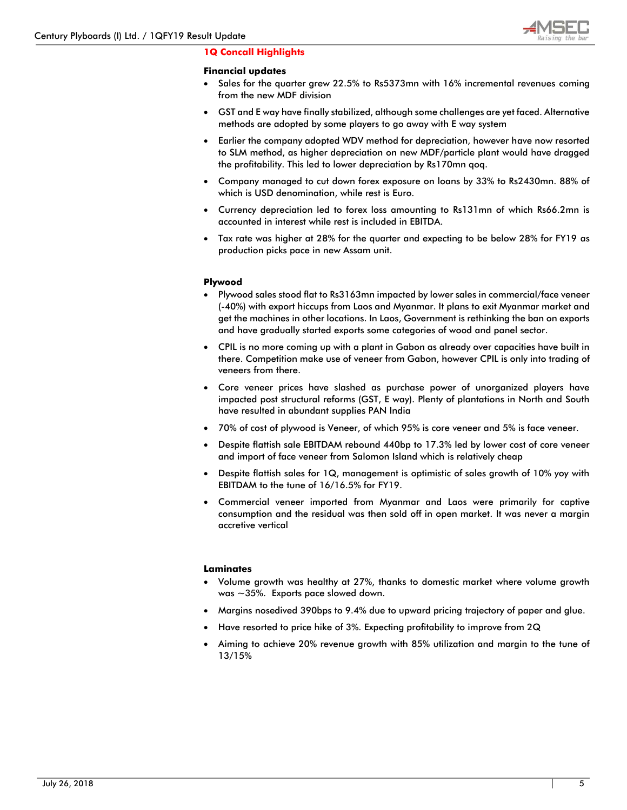

# **1Q Concall Highlights**

### **Financial updates**

- Sales for the quarter grew 22.5% to Rs5373mn with 16% incremental revenues coming from the new MDF division
- GST and E way have finally stabilized, although some challenges are yet faced. Alternative methods are adopted by some players to go away with E way system
- Earlier the company adopted WDV method for depreciation, however have now resorted to SLM method, as higher depreciation on new MDF/particle plant would have dragged the profitability. This led to lower depreciation by Rs170mn qoq.
- Company managed to cut down forex exposure on loans by 33% to Rs2430mn. 88% of which is USD denomination, while rest is Euro.
- Currency depreciation led to forex loss amounting to Rs131mn of which Rs66.2mn is accounted in interest while rest is included in EBITDA.
- Tax rate was higher at 28% for the quarter and expecting to be below 28% for FY19 as production picks pace in new Assam unit.

### **Plywood**

- Plywood sales stood flat to Rs3163mn impacted by lower sales in commercial/face veneer (-40%) with export hiccups from Laos and Myanmar. It plans to exit Myanmar market and get the machines in other locations. In Laos, Government is rethinking the ban on exports and have gradually started exports some categories of wood and panel sector.
- CPIL is no more coming up with a plant in Gabon as already over capacities have built in there. Competition make use of veneer from Gabon, however CPIL is only into trading of veneers from there.
- Core veneer prices have slashed as purchase power of unorganized players have impacted post structural reforms (GST, E way). Plenty of plantations in North and South have resulted in abundant supplies PAN India
- 70% of cost of plywood is Veneer, of which 95% is core veneer and 5% is face veneer.
- Despite flattish sale EBITDAM rebound 440bp to 17.3% led by lower cost of core veneer and import of face veneer from Salomon Island which is relatively cheap
- Despite flattish sales for 1Q, management is optimistic of sales growth of 10% yoy with EBITDAM to the tune of 16/16.5% for FY19.
- Commercial veneer imported from Myanmar and Laos were primarily for captive consumption and the residual was then sold off in open market. It was never a margin accretive vertical

#### **Laminates**

- Volume growth was healthy at 27%, thanks to domestic market where volume growth was ~35%. Exports pace slowed down.
- Margins nosedived 390bps to 9.4% due to upward pricing trajectory of paper and glue.
- Have resorted to price hike of 3%. Expecting profitability to improve from 2Q
- Aiming to achieve 20% revenue growth with 85% utilization and margin to the tune of 13/15%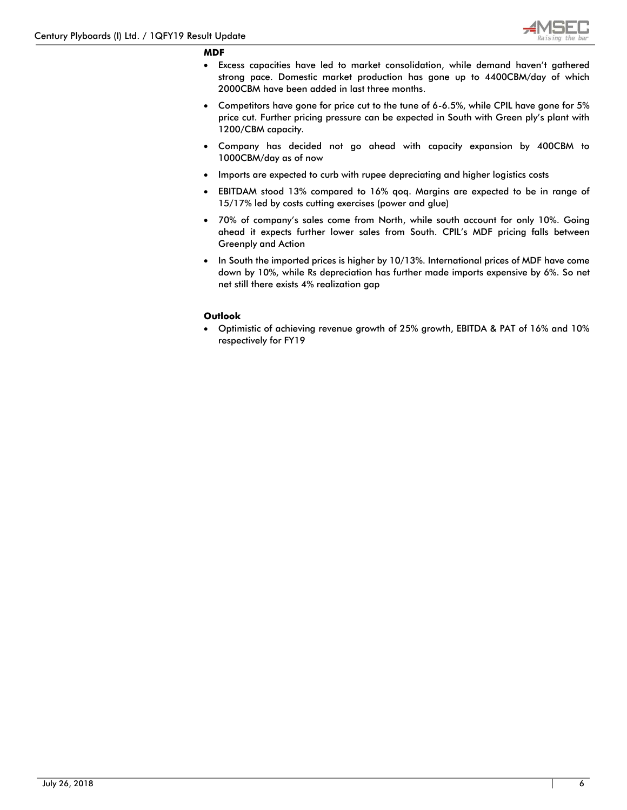

#### **MDF**

- Excess capacities have led to market consolidation, while demand haven't gathered strong pace. Domestic market production has gone up to 4400CBM/day of which 2000CBM have been added in last three months.
- Competitors have gone for price cut to the tune of 6-6.5%, while CPIL have gone for 5% price cut. Further pricing pressure can be expected in South with Green ply's plant with 1200/CBM capacity.
- Company has decided not go ahead with capacity expansion by 400CBM to 1000CBM/day as of now
- Imports are expected to curb with rupee depreciating and higher logistics costs
- EBITDAM stood 13% compared to 16% qoq. Margins are expected to be in range of 15/17% led by costs cutting exercises (power and glue)
- 70% of company's sales come from North, while south account for only 10%. Going ahead it expects further lower sales from South. CPIL's MDF pricing falls between Greenply and Action
- In South the imported prices is higher by 10/13%. International prices of MDF have come down by 10%, while Rs depreciation has further made imports expensive by 6%. So net net still there exists 4% realization gap

#### **Outlook**

• Optimistic of achieving revenue growth of 25% growth, EBITDA & PAT of 16% and 10% respectively for FY19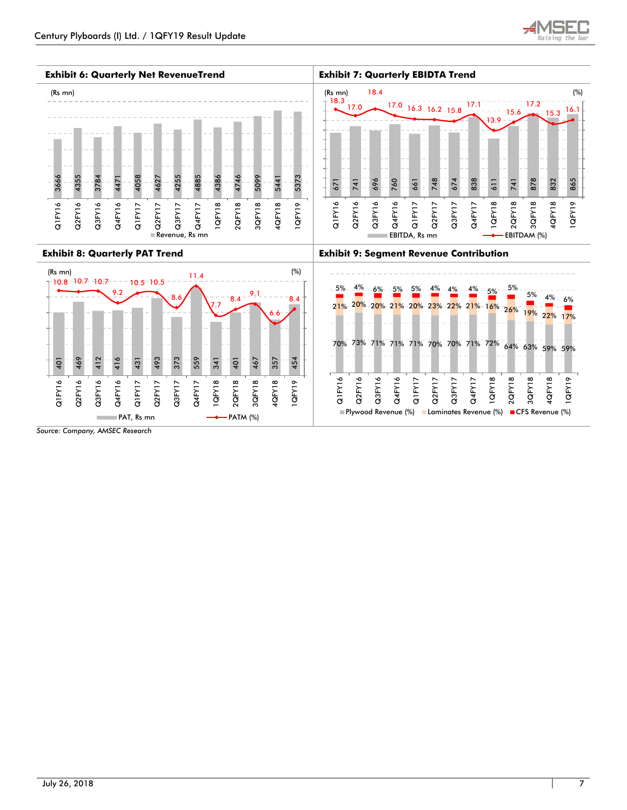

**Exhibit 6: Quarterly Net RevenueTrend Exhibit 7: Quarterly EBIDTA Trend**



Q4FY17 1QFY18 2QFY18 3QFY18 4QFY18 1QFY19 Q1FY16 Q2FY16 Q3FY16 Q4FY16 Q1FY17 Q2FY17 Q3FY17 Plywood Revenue (%) Laminates Revenue (%) CFS Revenue (%)

 $PAT$ , Rs mn  $\longrightarrow$  PATM (%)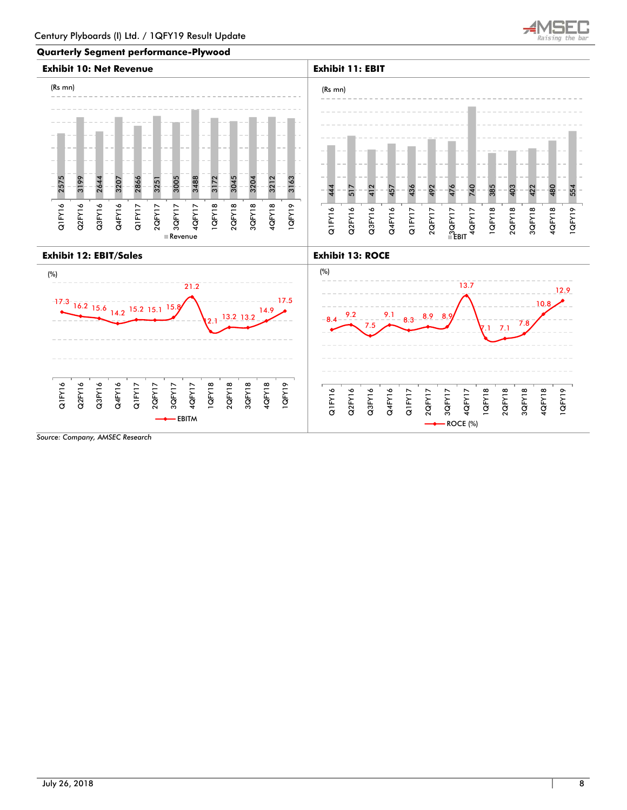

### **Quarterly Segment performance-Plywood**

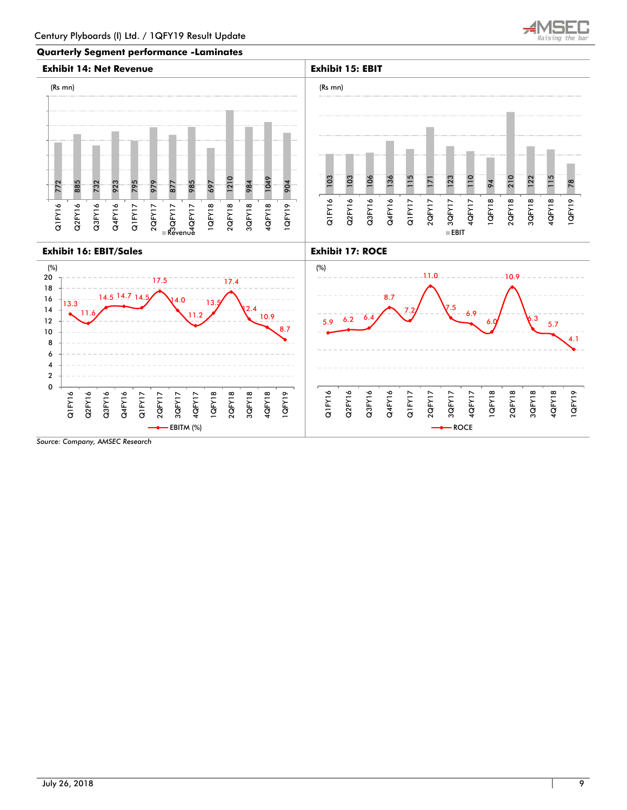

#### **Quarterly Segment performance -Laminates**

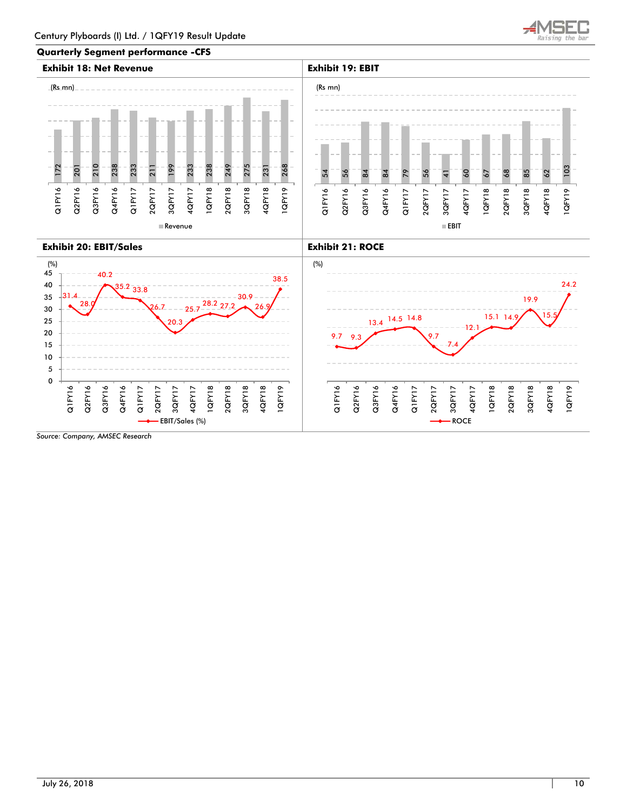

#### **Quarterly Segment performance -CFS**

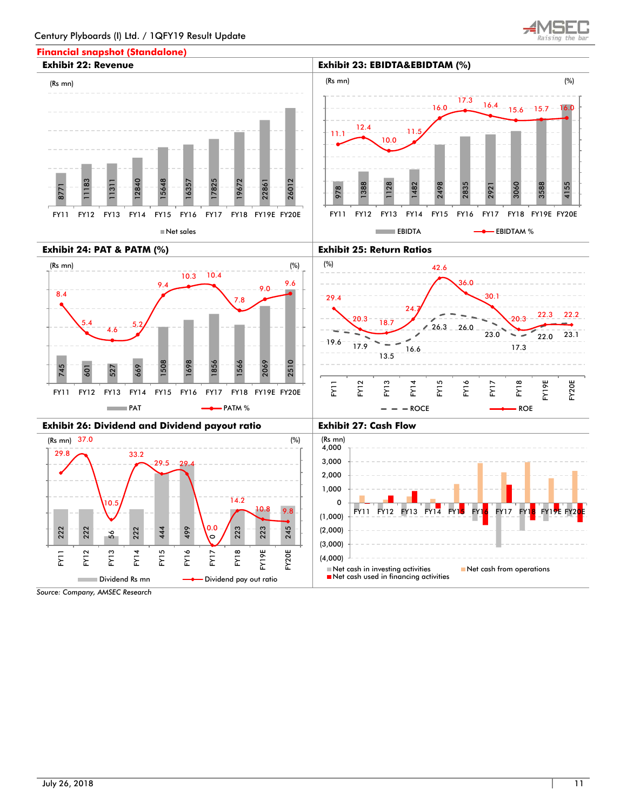# **Financial snapshot (Standalone)**







Net cash used in financing activities

■Dividend Rs mn Dividend pay out ratio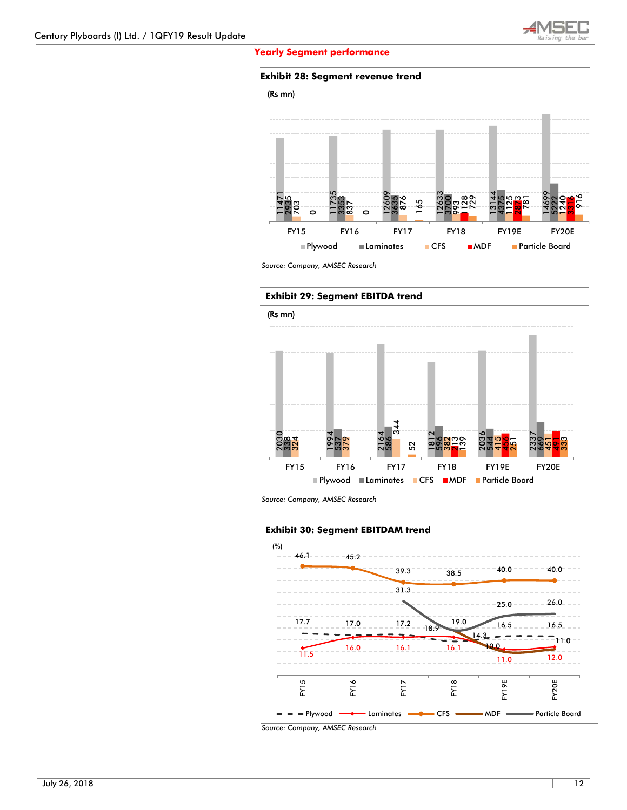

#### **Yearly Segment performance**

# **Exhibit 28: Segment revenue trend**



*Source: Company, AMSEC Research* 

#### **Exhibit 29: Segment EBITDA trend**



*Source: Company, AMSEC Research* 

#### **Exhibit 30: Segment EBITDAM trend**

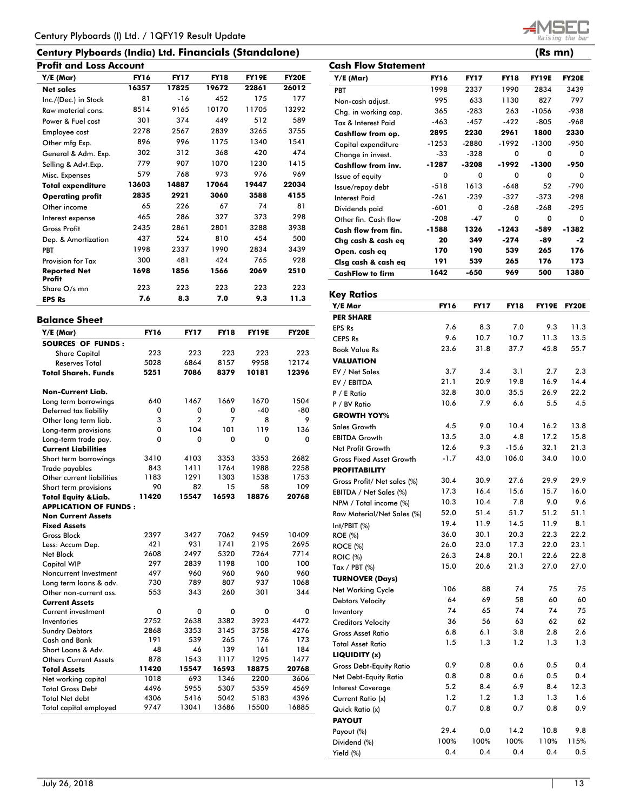| Century Plyboards (India) Ltd. Financials (Standalone) | (Rs mn) |
|--------------------------------------------------------|---------|
|--------------------------------------------------------|---------|

| Y/E (Mar)                            | <b>FY16</b> | <b>FY17</b> | <b>FY18</b> | <b>FY19E</b> | <b>FY20E</b> |
|--------------------------------------|-------------|-------------|-------------|--------------|--------------|
| <b>Net sales</b>                     | 16357       | 17825       | 19672       | 22861        | 26012        |
| Inc./(Dec.) in Stock                 | 81          | -16         | 452         | 175          | 177          |
| Raw material cons.                   | 8514        | 9165        | 10170       | 11705        | 13292        |
| Power & Fuel cost                    | 301         | 374         | 449         | 512          | 589          |
| Employee cost                        | 2278        | 2567        | 2839        | 3265         | 3755         |
| Other mfg Exp.                       | 896         | 996         | 1175        | 1340         | 1541         |
| General & Adm. Exp.                  | 302         | 312         | 368         | 420          | 474          |
| Selling & Advt.Exp.                  | 779         | 907         | 1070        | 1230         | 1415         |
| Misc. Expenses                       | 579         | 768         | 973         | 976          | 969          |
| <b>Total expenditure</b>             | 13603       | 14887       | 17064       | 19447        | 22034        |
| <b>Operating profit</b>              | 2835        | 2921        | 3060        | 3588         | 4155         |
| Other income                         | 65          | 226         | 67          | 74           | 81           |
| Interest expense                     | 465         | 286         | 327         | 373          | 298          |
| <b>Gross Profit</b>                  | 2435        | 2861        | 2801        | 3288         | 3938         |
| Dep. & Amortization                  | 437         | 524         | 810         | 454          | 500          |
| <b>PBT</b>                           | 1998        | 2337        | 1990        | 2834         | 3439         |
| <b>Provision for Tax</b>             | 300         | 481         | 424         | 765          | 928          |
| <b>Reported Net</b><br><b>Profit</b> | 1698        | 1856        | 1566        | 2069         | 2510         |
| Share O/s mn                         | 223         | 223         | 223         | 223          | 223          |
| <b>EPS Rs</b>                        | 7.6         | 8.3         | 7.0         | 9.3          | 11.3         |

| <b>Balance Sheet</b>            |             |                |             |              |              |
|---------------------------------|-------------|----------------|-------------|--------------|--------------|
| Y/E (Mar)                       | <b>FY16</b> | <b>FY17</b>    | <b>FY18</b> | <b>FY19E</b> | <b>FY20E</b> |
| <b>SOURCES OF FUNDS:</b>        |             |                |             |              |              |
| <b>Share Capital</b>            | 223         | 223            | 223         | 223          | 223          |
| <b>Reserves Total</b>           | 5028        | 6864           | 8157        | 9958         | 12174        |
| <b>Total Shareh, Funds</b>      | 5251        | 7086           | 8379        | 10181        | 12396        |
| <b>Non-Current Liab.</b>        |             |                |             |              |              |
| Long term borrowings            | 640         | 1467           | 1669        | 1670         | 1504         |
| Deferred tax liability          | 0           | 0              | 0           | $-40$        | -80          |
| Other long term liab.           | 3           | $\overline{a}$ | 7           | 8            | 9            |
| Long-term provisions            | 0           | 104            | 101         | 119          | 136          |
| Long-term trade pay.            | 0           | 0              | 0           | 0            | 0            |
| <b>Current Liabilities</b>      |             |                |             |              |              |
| Short term borrowings           | 3410        | 4103           | 3353        | 3353         | 2682         |
| Trade payables                  | 843         | 1411           | 1764        | 1988         | 2258         |
| Other current liabilities       | 1183        | 1291           | 1303        | 1538         | 1753         |
| Short term provisions           | 90          | 82             | 15          | 58           | 109          |
| <b>Total Equity &amp; Liab.</b> | 11420       | 15547          | 16593       | 18876        | 20768        |
| <b>APPLICATION OF FUNDS:</b>    |             |                |             |              |              |
| <b>Non Current Assets</b>       |             |                |             |              |              |
| <b>Fixed Assets</b>             |             |                |             |              |              |
| <b>Gross Block</b>              | 2397        | 3427           | 7062        | 9459         | 10409        |
| Less: Accum Dep.                | 421         | 931            | 1741        | 2195         | 2695         |
| Net Block                       | 2608        | 2497           | 5320        | 7264         | 7714         |
| <b>Capital WIP</b>              | 297         | 2839           | 1198        | 100          | 100          |
| Noncurrent Investment           | 497         | 960            | 960         | 960          | 960          |
| Long term loans & adv.          | 730         | 789            | 807         | 937          | 1068         |
| Other non-current ass.          | 553         | 343            | 260         | 301          | 344          |
| <b>Current Assets</b>           |             |                |             |              |              |
| Current investment              | 0           | 0              | 0           | 0            | 0            |
| Inventories                     | 2752        | 2638           | 3382        | 3923         | 4472         |
| <b>Sundry Debtors</b>           | 2868        | 3353           | 3145        | 3758         | 4276         |
| Cash and Bank                   | 191         | 539            | 265         | 176          | 173          |
| Short Loans & Adv.              | 48          | 46             | 139         | 161          | 184          |
| <b>Others Current Assets</b>    | 878         | 1543           | 1117        | 1295         | 1477         |
| <b>Total Assets</b>             | 11420       | 15547          | 16593       | 18875        | 20768        |
| Net working capital             | 1018        | 693            | 1346        | 2200         | 3606         |
| <b>Total Gross Debt</b>         | 4496        | 5955           | 5307        | 5359         | 4569         |
| <b>Total Net debt</b>           | 4306        | 5416           | 5042        | 5183         | 4396         |
| <b>Total capital employed</b>   | 9747        | 13041          | 13686       | 15500        | 16885        |



| Y/E Mar                         | <b>FY16</b> | <b>FY17</b> | <b>FY18</b> | <b>FY19E</b> | <b>FY20E</b> |
|---------------------------------|-------------|-------------|-------------|--------------|--------------|
| <b>PER SHARE</b>                |             |             |             |              |              |
| <b>EPS Rs</b>                   | 7.6         | 8.3         | 7.0         | 9.3          | 11.3         |
| <b>CEPS Rs</b>                  | 9.6         | 10.7        | 10.7        | 11.3         | 13.5         |
| <b>Book Value Rs</b>            | 23.6        | 31.8        | 37.7        | 45.8         | 55.7         |
| <b>VALUATION</b>                |             |             |             |              |              |
| EV / Net Sales                  | 3.7         | 3.4         | 3.1         | 2.7          | 2.3          |
| EV / EBITDA                     | 21.1        | 20.9        | 19.8        | 16.9         | 14.4         |
| P / E Ratio                     | 32.8        | 30.0        | 35.5        | 26.9         | 22.2         |
| P / BV Ratio                    | 10.6        | 7.9         | 6.6         | 5.5          | 4.5          |
| <b>GROWTH YOY%</b>              |             |             |             |              |              |
| Sales Growth                    | 4.5         | 9.0         | 10.4        | 16.2         | 13.8         |
| <b>EBITDA Growth</b>            | 13.5        | 3.0         | 4.8         | 17.2         | 15.8         |
| Net Profit Growth               | 12.6        | 9.3         | $-15.6$     | 32.1         | 21.3         |
| <b>Gross Fixed Asset Growth</b> | $-1.7$      | 43.0        | 106.0       | 34.0         | 10.0         |
| <b>PROFITABILITY</b>            |             |             |             |              |              |
| Gross Profit/ Net sales (%)     | 30.4        | 30.9        | 27.6        | 29.9         | 29.9         |
| EBITDA / Net Sales (%)          | 17.3        | 16.4        | 15.6        | 15.7         | 16.0         |
| NPM / Total income (%)          | 10.3        | 10.4        | 7.8         | 9.0          | 9.6          |
| Raw Material/Net Sales (%)      | 52.0        | 51.4        | 51.7        | 51.2         | 51.1         |
| Int/PBIT (%)                    | 19.4        | 11.9        | 14.5        | 11.9         | 8.1          |
| <b>ROE</b> (%)                  | 36.0        | 30.1        | 20.3        | 22.3         | 22.2         |
| <b>ROCE (%)</b>                 | 26.0        | 23.0        | 17.3        | 22.0         | 23.1         |
| <b>ROIC</b> (%)                 | 26.3        | 24.8        | 20.1        | 22.6         | 22.8         |
| Tax / PBT (%)                   | 15.0        | 20.6        | 21.3        | 27.0         | 27.0         |
| <b>TURNOVER (Days)</b>          |             |             |             |              |              |
| Net Working Cycle               | 106         | 88          | 74          | 75           | 75           |
| <b>Debtors Velocity</b>         | 64          | 69          | 58          | 60           | 60           |
| Inventory                       | 74          | 65          | 74          | 74           | 75           |
| <b>Creditors Velocity</b>       | 36          | 56          | 63          | 62           | 62           |
| <b>Gross Asset Ratio</b>        | 6.8         | 6.1         | 3.8         | 2.8          | 2.6          |
| <b>Total Asset Ratio</b>        | 1.5         | 1.3         | 1.2         | 1.3          | 1.3          |
| LIQUIDITY (x)                   |             |             |             |              |              |
| <b>Gross Debt-Equity Ratio</b>  | 0.9         | 0.8         | 0.6         | 0.5          | 0.4          |
| Net Debt-Equity Ratio           | 0.8         | 0.8         | 0.6         | 0.5          | 0.4          |
| <b>Interest Coverage</b>        | 5.2         | 8.4         | 6.9         | 8.4          | 12.3         |
| Current Ratio (x)               | 1.2         | 1.2         | 1.3         | 1.3          | 1.6          |
| Quick Ratio (x)                 | 0.7         | 0.8         | 0.7         | 0.8          | 0.9          |
| <b>PAYOUT</b>                   |             |             |             |              |              |
| Payout (%)                      | 29.4        | 0.0         | 14.2        | 10.8         | 9.8          |
| Dividend (%)                    | 100%        | 100%        | 100%        | 110%         | 115%         |
| Yield (%)                       | 0.4         | 0.4         | 0.4         | 0.4          | 0.5          |

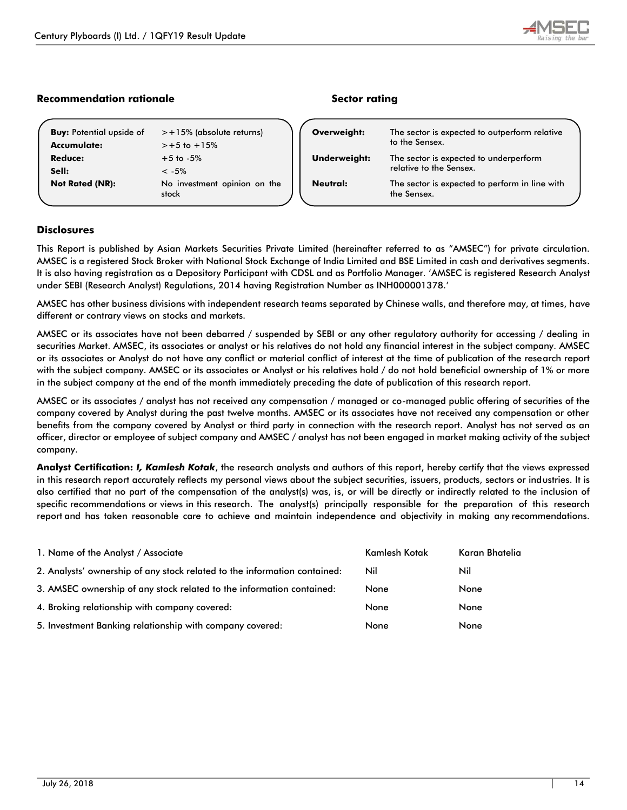# **Recommendation rationale Community Recommendation rationale**

| Accumulate:            | $> +5$ to $+15%$                      |
|------------------------|---------------------------------------|
| Reduce:                | $+5$ to $-5\%$                        |
| Sell:                  | $<-5%$                                |
| <b>Not Rated (NR):</b> | No investment opinion on the<br>stock |
|                        |                                       |

**Buy:** Potential upside of  $\Rightarrow$  +15% (absolute returns)

| Overweight:  | The sector is expected to outperform relative<br>to the Sensex.   |  |
|--------------|-------------------------------------------------------------------|--|
| Underweight: | The sector is expected to underperform<br>relative to the Sensex. |  |
| Neutral:     | The sector is expected to perform in line with<br>the Sensex.     |  |
|              |                                                                   |  |

# **Disclosures**

This Report is published by Asian Markets Securities Private Limited (hereinafter referred to as "AMSEC") for private circulation. AMSEC is a registered Stock Broker with National Stock Exchange of India Limited and BSE Limited in cash and derivatives segments. It is also having registration as a Depository Participant with CDSL and as Portfolio Manager. 'AMSEC is registered Research Analyst under SEBI (Research Analyst) Regulations, 2014 having Registration Number as INH000001378.'

AMSEC has other business divisions with independent research teams separated by Chinese walls, and therefore may, at times, have different or contrary views on stocks and markets.

AMSEC or its associates have not been debarred / suspended by SEBI or any other regulatory authority for accessing / dealing in securities Market. AMSEC, its associates or analyst or his relatives do not hold any financial interest in the subject company. AMSEC or its associates or Analyst do not have any conflict or material conflict of interest at the time of publication of the research report with the subject company. AMSEC or its associates or Analyst or his relatives hold / do not hold beneficial ownership of 1% or more in the subject company at the end of the month immediately preceding the date of publication of this research report.

AMSEC or its associates / analyst has not received any compensation / managed or co-managed public offering of securities of the company covered by Analyst during the past twelve months. AMSEC or its associates have not received any compensation or other benefits from the company covered by Analyst or third party in connection with the research report. Analyst has not served as an officer, director or employee of subject company and AMSEC / analyst has not been engaged in market making activity of the subject company.

**Analyst Certification:** *I, Kamlesh Kotak*, the research analysts and authors of this report, hereby certify that the views expressed in this research report accurately reflects my personal views about the subject securities, issuers, products, sectors or industries. It is also certified that no part of the compensation of the analyst(s) was, is, or will be directly or indirectly related to the inclusion of specific recommendations or views in this research. The analyst(s) principally responsible for the preparation of this research report and has taken reasonable care to achieve and maintain independence and objectivity in making any recommendations.

| 1. Name of the Analyst / Associate                                        | Kamlesh Kotak | Karan Bhatelia |
|---------------------------------------------------------------------------|---------------|----------------|
| 2. Analysts' ownership of any stock related to the information contained: | Nil           | Nil            |
| 3. AMSEC ownership of any stock related to the information contained:     | None          | None           |
| 4. Broking relationship with company covered:                             | None          | None           |
| 5. Investment Banking relationship with company covered:                  | None          | None           |